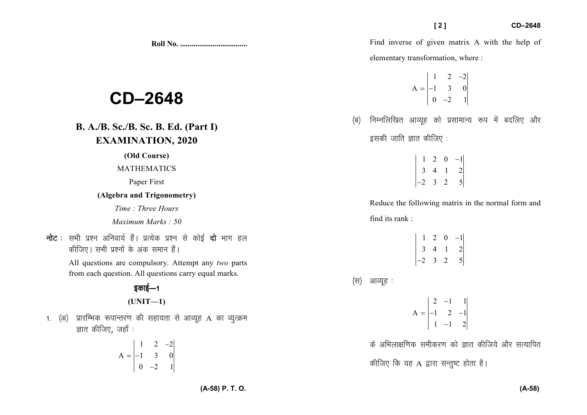**Roll No. ...................................** 

# **CD–2648**

# **B. A./B. Sc./B. Sc. B. Ed. (Part I)EXAMINATION, 2020**

#### **(Old Course)**

#### MATHEMATICS

Paper First

#### **(Algebra and Trigonometry)**

*Time : Three Hours* 

#### *Maximum Marks : 50*

**नोट** : सभी प्रश्न अनिवार्य हैं। प्रत्येक प्रश्न से कोई **दो** भाग हल *dhft,A lHkh iz'uksa d¢ vad leku gSaA* 

> All questions are compulsory. Attempt any *two* parts from each question. All questions carry equal marks.

> > *bdkbZ*&*<sup>1</sup>*

$$
(UNIT-1)
$$

1. (अ) प्रारम्भिक रूपान्तरण की सहायता से आव्यूह A का व्यूत्क्रम *Kkr dhft,*] *tgk¡ %* 

$$
A = \begin{vmatrix} 1 & 2 & -2 \\ -1 & 3 & 0 \\ 0 & -2 & 1 \end{vmatrix}
$$

Find inverse of given matrix A with the help of elementary transformation, where :

$$
A = \begin{vmatrix} 1 & 2 & -2 \\ -1 & 3 & 0 \\ 0 & -2 & 1 \end{vmatrix}
$$

**Rall Yo.**<br> **Example 121**<br> **CD–2648**<br> **D–2648**<br> **D–2648**<br> **D–3648**<br> **D–3648**<br> **D–3648**<br> **D**–3648<br> **D**–3648<br> **D**–3648<br>
<br> **D**–2648<br>
<br> **D**–2648<br>
<br> **D**–2648<br>
<br>
<br> **D**–2648<br>
<br>
<br> **D**–2648<br>
<br>
<br> **D**–2648<br>
<br>
<br> **D**–2648<br>
<br>
<br> **D**–2 *(*ब) निम्नलिखित आव्यूह को प्रसामान्य रूप में बदलिए और *bldh tkfr Kkr dhft, %* 

 $1 \ 2 \ 0 \ -1$ <sup>3</sup> <sup>4</sup> <sup>1</sup> <sup>2</sup>  $\begin{vmatrix} 1 & 2 & 0 & -1 \\ 3 & 4 & 1 & 2 \\ -2 & 3 & 2 & 5 \end{vmatrix}$ 

Reduce the following matrix in the normal form and find its rank :

|                | $\overline{2}$ | 0 | $-1$          |
|----------------|----------------|---|---------------|
| $\mathfrak{Z}$ | $\overline{4}$ | L | 2             |
| $-2$           | 3              | 2 | $\mathcal{S}$ |

*(स)* आव्यूह :

2  $-1$  1  $A = \begin{vmatrix} -1 & 2 & -1 \end{vmatrix}$  $=\begin{vmatrix} 2 & -1 & 1 \\ -1 & 2 & -1 \\ 1 & -1 & 2 \end{vmatrix}$ 

*के अभिलाक्षणिक समीकरण को ज्ञात कीजिये और सत्यापित* 

*कीजिए कि यह A द्वारा सन्तुष्ट होता है।*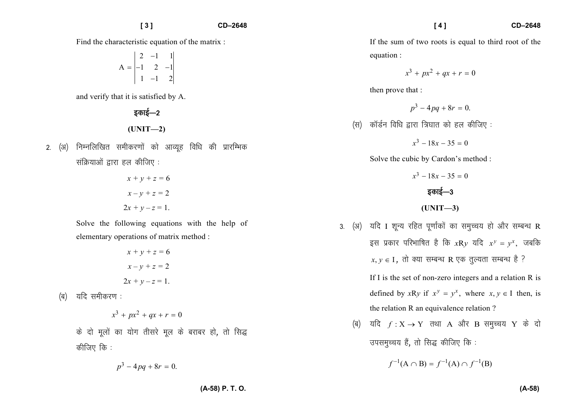Find the characteristic equation of the matrix :

$$
A = \begin{vmatrix} 2 & -1 & 1 \\ -1 & 2 & -1 \\ 1 & -1 & 2 \end{vmatrix}
$$

and verify that it is satisfied by A.

## डकाई—2

### **(UNIT—2)**

2. (अ) निम्नलिखित समीकरणों को आव्यूह विधि की प्रारम्भिक *lafØ;kvksa }kjk gy dhft, %* 

$$
x + y + z = 6
$$

$$
x - y + z = 2
$$

$$
2x + y - z = 1.
$$

Solve the following equations with the help of elementary operations of matrix method :

$$
x + y + z = 6
$$

$$
x - y + z = 2
$$

$$
2x + y - z = 1.
$$

*(*ब) यदि समीकरण :

$$
x^3 + px^2 + qx + r = 0
$$

*के* दो मूलों का योग तीसरे मूल के बराबर हो, तो सिद्ध *dhft, fd %* 

$$
p^3 - 4pq + 8r = 0.
$$

If the sum of two roots is equal to third root of the equation :

$$
x^3 + px^2 + qx + r = 0
$$

then prove that :

$$
p^3-4pq+8r=0.
$$

*(*स) कॉर्डन विधि द्वारा त्रिघात को हल कीजिए :

$$
x^3 - 18x - 35 = 0
$$

Solve the cubic by Cardon's method :

- $x^3 18x 35 = 0$ *bdkbZ*&*<sup>3</sup>***(UNIT—3)**
- 3. (अ) यदि I शून्य रहित पूर्णांकों का समुच्चय हो और सम्बन्ध R इस प्रकार परिभाषित है कि  $xRy$  यदि  $x^y = y^x$ , जबकि  $x, y \in I$ , तो क्या सम्बन्ध R एक तुल्यता सम्बन्ध है ?

If I is the set of non-zero integers and a relation R is defined by *x*R*y* if  $x^y = y^x$ , where  $x, y \in I$  then, is the relation R an equivalence relation ?

 $\phi(\mathbf{a})$  यदि  $f: \mathbf{X} \to \mathbf{Y}$  तथा A और B समुच्चय  $\mathbf{Y}$  के दो *mileqPp; gSa*] *rks fl) dhft, fd %* 

$$
f^{-1}(A \cap B) = f^{-1}(A) \cap f^{-1}(B)
$$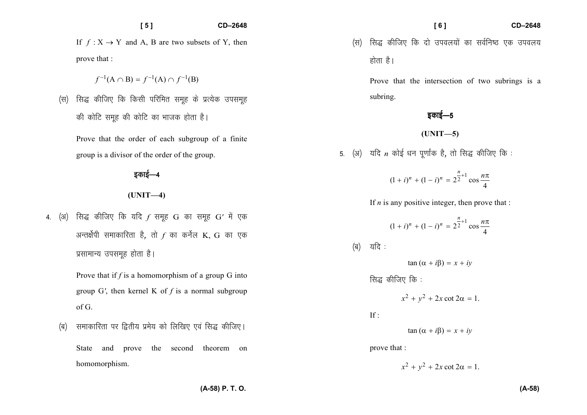#### **[ 5 ] CD–2648**

If  $f: X \to Y$  and A, B are two subsets of Y, then prove that :

$$
f^{-1}(A \cap B) = f^{-1}(A) \cap f^{-1}(B)
$$

*¼l½ fl) dhft, fd fdlh ifjfer lewg ds izR;sd milewg की कोटि समुह की कोटि का भाजक होता है।* 

Prove that the order of each subgroup of a finite group is a divisor of the order of the group.

*bdkbZ*&*<sup>4</sup>*

#### **(UNIT—4)**

4. (अ) सिद्ध कीजिए कि यदि *f* समूह G का समूह G' में एक *अन्तर्क्षेपी* समाकारिता है, तो  $f$  का कर्नेल K, G का एक *izlkekU; milewg gksrk gSA* 

> Prove that if *f* is a homomorphism of a group G into group G*'*, then kernel K of *f* is a normal subgroup of G.

*¼c½ lekdkfjrk ij f}rh; izes; dks fyf[k, ,oa fl) dhft,A* 

State and prove the second theorem on homomorphism.

*¼l½ fl) dhft, fd nks mioy;ksa dk loZfu"B ,d mioy;* होता है।

Prove that the intersection of two subrings is a subring.

*sकाई—5* 

**(UNIT—5)** 

5. (अ) यदि *n* कोई धन पूर्णांक है, तो सिद्ध कीजिए कि :

$$
(1+i)^n + (1-i)^n = 2^{\frac{n}{2}+1} \cos \frac{n\pi}{4}
$$

If  $n$  is any positive integer, then prove that :

$$
(1 + i)^n + (1 - i)^n = 2^{\frac{n}{2} + 1} \cos \frac{n\pi}{4}
$$
\n(a)  $2\pi$  and  $(\alpha + i\beta) = x + iy$ 

\n(b)  $x^2 + y^2 + 2x \cot 2\alpha = 1$ .

\nIf  $2x + i\beta = x + iy$ 

\nProve that  $2x^2 + y^2 + 2x \cot 2\alpha = 1$ .

**(A-58) P. T. O.**